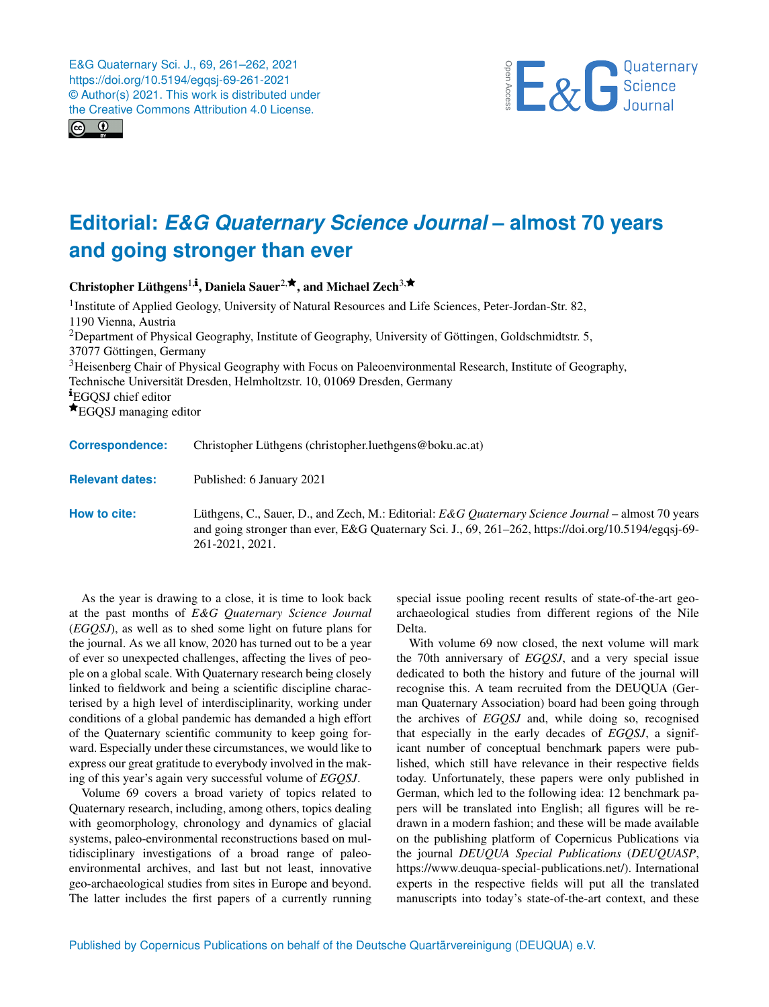



## **Editorial:** *E&G Quaternary Science Journal* **– almost 70 years and going stronger than ever**

Christopher Lüthgens<sup>[1,](#page-0-0)i</sup>, Daniela Sauer<sup>[2,](#page-0-0)★</sup>, and Michael Zech<sup>[3,](#page-0-0)★</sup>

<sup>1</sup> Institute of Applied Geology, University of Natural Resources and Life Sciences, Peter-Jordan-Str. 82, 1190 Vienna, Austria <sup>2</sup>Department of Physical Geography, Institute of Geography, University of Göttingen, Goldschmidtstr. 5, 37077 Göttingen, Germany <sup>3</sup>Heisenberg Chair of Physical Geography with Focus on Paleoenvironmental Research, Institute of Geography, Technische Universität Dresden, Helmholtzstr. 10, 01069 Dresden, Germany **EGOSJ** chief editor **★EGOSJ** managing editor

**Correspondence:** Christopher Lüthgens (christopher.luethgens@boku.ac.at)

**Relevant dates:** Published: 6 January 2021

**How to cite:** Lüthgens, C., Sauer, D., and Zech, M.: Editorial: *E&G Quaternary Science Journal* – almost 70 years and going stronger than ever, E&G Quaternary Sci. J., 69, 261–262, https://doi.org/10.5194/egqsj-69- 261-2021, 2021.

<span id="page-0-0"></span>As the year is drawing to a close, it is time to look back at the past months of *E&G Quaternary Science Journal* (*EGQSJ*), as well as to shed some light on future plans for the journal. As we all know, 2020 has turned out to be a year of ever so unexpected challenges, affecting the lives of people on a global scale. With Quaternary research being closely linked to fieldwork and being a scientific discipline characterised by a high level of interdisciplinarity, working under conditions of a global pandemic has demanded a high effort of the Quaternary scientific community to keep going forward. Especially under these circumstances, we would like to express our great gratitude to everybody involved in the making of this year's again very successful volume of *EGQSJ*.

Volume 69 covers a broad variety of topics related to Quaternary research, including, among others, topics dealing with geomorphology, chronology and dynamics of glacial systems, paleo-environmental reconstructions based on multidisciplinary investigations of a broad range of paleoenvironmental archives, and last but not least, innovative geo-archaeological studies from sites in Europe and beyond. The latter includes the first papers of a currently running

special issue pooling recent results of state-of-the-art geoarchaeological studies from different regions of the Nile Delta.

With volume 69 now closed, the next volume will mark the 70th anniversary of *EGQSJ*, and a very special issue dedicated to both the history and future of the journal will recognise this. A team recruited from the DEUQUA (German Quaternary Association) board had been going through the archives of *EGQSJ* and, while doing so, recognised that especially in the early decades of *EGQSJ*, a significant number of conceptual benchmark papers were published, which still have relevance in their respective fields today. Unfortunately, these papers were only published in German, which led to the following idea: 12 benchmark papers will be translated into English; all figures will be redrawn in a modern fashion; and these will be made available on the publishing platform of Copernicus Publications via the journal *DEUQUA Special Publications* (*DEUQUASP*, [https://www.deuqua-special-publications.net/\)](https://www.deuqua-special-publications.net/). International experts in the respective fields will put all the translated manuscripts into today's state-of-the-art context, and these